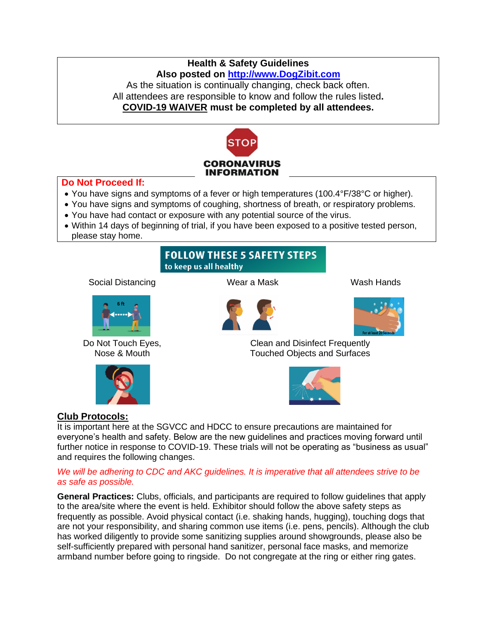## **Health & Safety Guidelines Also posted on [http://www.DogZibit.com](http://www.dogzibit.com/)**

As the situation is continually changing, check back often. All attendees are responsible to know and follow the rules listed**. COVID-19 WAIVER must be completed by all attendees.**



### **Do Not Proceed If:**

- You have signs and symptoms of a fever or high temperatures (100.4°F/38°C or higher).
- You have signs and symptoms of coughing, shortness of breath, or respiratory problems.
- You have had contact or exposure with any potential source of the virus.
- Within 14 days of beginning of trial, if you have been exposed to a positive tested person, please stay home.

# **FOLLOW THESE 5 SAFETY STEPS** to keep us all healthy

Social Distancing Wear a Mask Wash Hands



Do Not Touch Eyes, Nose & Mouth







Clean and Disinfect Frequently Touched Objects and Surfaces



## **Club Protocols:**

It is important here at the SGVCC and HDCC to ensure precautions are maintained for everyone's health and safety. Below are the new guidelines and practices moving forward until further notice in response to COVID-19. These trials will not be operating as "business as usual" and requires the following changes.

#### *We will be adhering to CDC and AKC guidelines. It is imperative that all attendees strive to be as safe as possible.*

**General Practices:** Clubs, officials, and participants are required to follow guidelines that apply to the area/site where the event is held. Exhibitor should follow the above safety steps as frequently as possible. Avoid physical contact (i.e. shaking hands, hugging), touching dogs that are not your responsibility, and sharing common use items (i.e. pens, pencils). Although the club has worked diligently to provide some sanitizing supplies around showgrounds, please also be self-sufficiently prepared with personal hand sanitizer, personal face masks, and memorize armband number before going to ringside. Do not congregate at the ring or either ring gates.